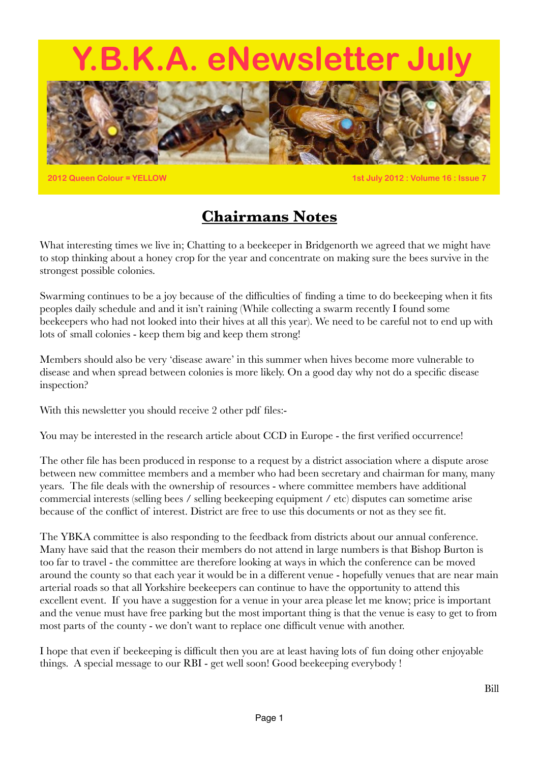# **Y.B.K.A. eNewsletter July**



**2012 Queen Colour = YELLOW 1st July 2012 : Volume 16 : Issue 7**

### **Chairmans Notes**

What interesting times we live in; Chatting to a beekeeper in Bridgenorth we agreed that we might have to stop thinking about a honey crop for the year and concentrate on making sure the bees survive in the strongest possible colonies.

Swarming continues to be a joy because of the difficulties of finding a time to do beekeeping when it fits peoples daily schedule and and it isn't raining (While collecting a swarm recently I found some beekeepers who had not looked into their hives at all this year). We need to be careful not to end up with lots of small colonies - keep them big and keep them strong!

Members should also be very 'disease aware' in this summer when hives become more vulnerable to disease and when spread between colonies is more likely. On a good day why not do a specific disease inspection?

With this newsletter you should receive 2 other pdf files:-

You may be interested in the research article about CCD in Europe - the first verified occurrence!

The other file has been produced in response to a request by a district association where a dispute arose between new committee members and a member who had been secretary and chairman for many, many years. The file deals with the ownership of resources - where committee members have additional commercial interests (selling bees / selling beekeeping equipment / etc) disputes can sometime arise because of the conflict of interest. District are free to use this documents or not as they see fit.

The YBKA committee is also responding to the feedback from districts about our annual conference. Many have said that the reason their members do not attend in large numbers is that Bishop Burton is too far to travel - the committee are therefore looking at ways in which the conference can be moved around the county so that each year it would be in a different venue - hopefully venues that are near main arterial roads so that all Yorkshire beekeepers can continue to have the opportunity to attend this excellent event. If you have a suggestion for a venue in your area please let me know; price is important and the venue must have free parking but the most important thing is that the venue is easy to get to from most parts of the county - we don't want to replace one difficult venue with another.

I hope that even if beekeeping is difficult then you are at least having lots of fun doing other enjoyable things. A special message to our RBI - get well soon! Good beekeeping everybody !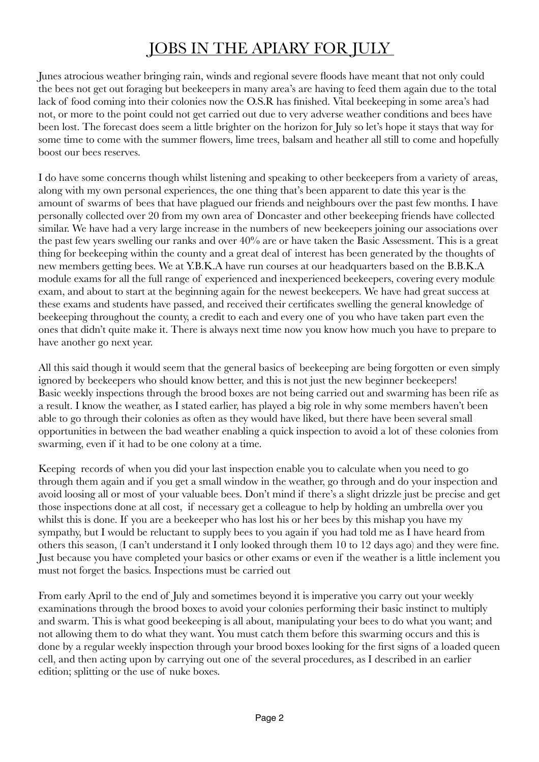### JOBS IN THE APIARY FOR JULY

Junes atrocious weather bringing rain, winds and regional severe floods have meant that not only could the bees not get out foraging but beekeepers in many area's are having to feed them again due to the total lack of food coming into their colonies now the O.S.R has finished. Vital beekeeping in some area's had not, or more to the point could not get carried out due to very adverse weather conditions and bees have been lost. The forecast does seem a little brighter on the horizon for July so let's hope it stays that way for some time to come with the summer flowers, lime trees, balsam and heather all still to come and hopefully boost our bees reserves.

I do have some concerns though whilst listening and speaking to other beekeepers from a variety of areas, along with my own personal experiences, the one thing that's been apparent to date this year is the amount of swarms of bees that have plagued our friends and neighbours over the past few months. I have personally collected over 20 from my own area of Doncaster and other beekeeping friends have collected similar. We have had a very large increase in the numbers of new beekeepers joining our associations over the past few years swelling our ranks and over 40% are or have taken the Basic Assessment. This is a great thing for beekeeping within the county and a great deal of interest has been generated by the thoughts of new members getting bees. We at Y.B.K.A have run courses at our headquarters based on the B.B.K.A module exams for all the full range of experienced and inexperienced beekeepers, covering every module exam, and about to start at the beginning again for the newest beekeepers. We have had great success at these exams and students have passed, and received their certificates swelling the general knowledge of beekeeping throughout the county, a credit to each and every one of you who have taken part even the ones that didn't quite make it. There is always next time now you know how much you have to prepare to have another go next year.

All this said though it would seem that the general basics of beekeeping are being forgotten or even simply ignored by beekeepers who should know better, and this is not just the new beginner beekeepers! Basic weekly inspections through the brood boxes are not being carried out and swarming has been rife as a result. I know the weather, as I stated earlier, has played a big role in why some members haven't been able to go through their colonies as often as they would have liked, but there have been several small opportunities in between the bad weather enabling a quick inspection to avoid a lot of these colonies from swarming, even if it had to be one colony at a time.

Keeping records of when you did your last inspection enable you to calculate when you need to go through them again and if you get a small window in the weather, go through and do your inspection and avoid loosing all or most of your valuable bees. Don't mind if there's a slight drizzle just be precise and get those inspections done at all cost, if necessary get a colleague to help by holding an umbrella over you whilst this is done. If you are a beekeeper who has lost his or her bees by this mishap you have my sympathy, but I would be reluctant to supply bees to you again if you had told me as I have heard from others this season, (I can't understand it I only looked through them 10 to 12 days ago) and they were fine. Just because you have completed your basics or other exams or even if the weather is a little inclement you must not forget the basics. Inspections must be carried out

From early April to the end of July and sometimes beyond it is imperative you carry out your weekly examinations through the brood boxes to avoid your colonies performing their basic instinct to multiply and swarm. This is what good beekeeping is all about, manipulating your bees to do what you want; and not allowing them to do what they want. You must catch them before this swarming occurs and this is done by a regular weekly inspection through your brood boxes looking for the first signs of a loaded queen cell, and then acting upon by carrying out one of the several procedures, as I described in an earlier edition; splitting or the use of nuke boxes.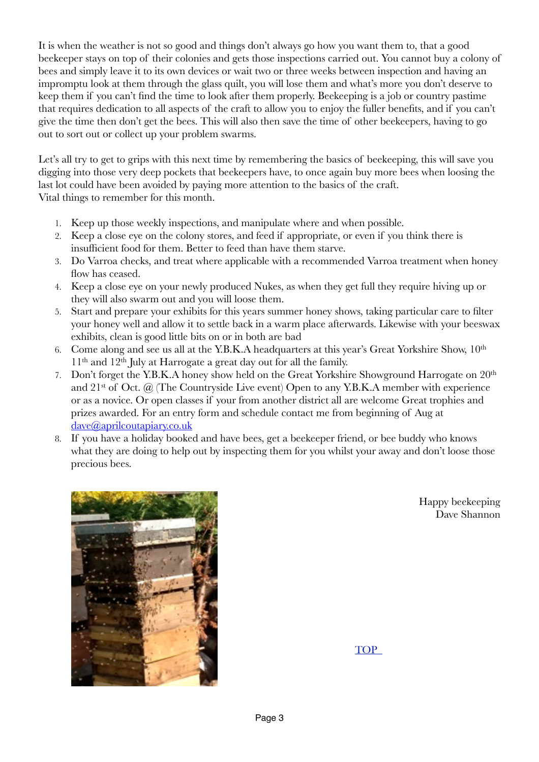It is when the weather is not so good and things don't always go how you want them to, that a good beekeeper stays on top of their colonies and gets those inspections carried out. You cannot buy a colony of bees and simply leave it to its own devices or wait two or three weeks between inspection and having an impromptu look at them through the glass quilt, you will lose them and what's more you don't deserve to keep them if you can't find the time to look after them properly. Beekeeping is a job or country pastime that requires dedication to all aspects of the craft to allow you to enjoy the fuller benefits, and if you can't give the time then don't get the bees. This will also then save the time of other beekeepers, having to go out to sort out or collect up your problem swarms.

Let's all try to get to grips with this next time by remembering the basics of beekeeping, this will save you digging into those very deep pockets that beekeepers have, to once again buy more bees when loosing the last lot could have been avoided by paying more attention to the basics of the craft. Vital things to remember for this month.

- 1. Keep up those weekly inspections, and manipulate where and when possible.
- 2. Keep a close eye on the colony stores, and feed if appropriate, or even if you think there is insufficient food for them. Better to feed than have them starve.
- 3. Do Varroa checks, and treat where applicable with a recommended Varroa treatment when honey flow has ceased.
- 4. Keep a close eye on your newly produced Nukes, as when they get full they require hiving up or they will also swarm out and you will loose them.
- 5. Start and prepare your exhibits for this years summer honey shows, taking particular care to filter your honey well and allow it to settle back in a warm place afterwards. Likewise with your beeswax exhibits, clean is good little bits on or in both are bad
- 6. Come along and see us all at the Y.B.K.A headquarters at this year's Great Yorkshire Show, 10th  $11<sup>th</sup>$  and  $12<sup>th</sup>$  July at Harrogate a great day out for all the family.
- 7. Don't forget the Y.B.K.A honey show held on the Great Yorkshire Showground Harrogate on 20<sup>th</sup> and  $21^{st}$  of Oct.  $\omega$  (The Countryside Live event) Open to any Y.B.K.A member with experience or as a novice. Or open classes if your from another district all are welcome Great trophies and prizes awarded. For an entry form and schedule contact me from beginning of Aug at [dave@aprilcoutapiary.co.uk](mailto:dave@aprilcoutapiary.co.uk)
- 8. If you have a holiday booked and have bees, get a beekeeper friend, or bee buddy who knows what they are doing to help out by inspecting them for you whilst your away and don't loose those precious bees.



Happy beekeeping Dave Shannon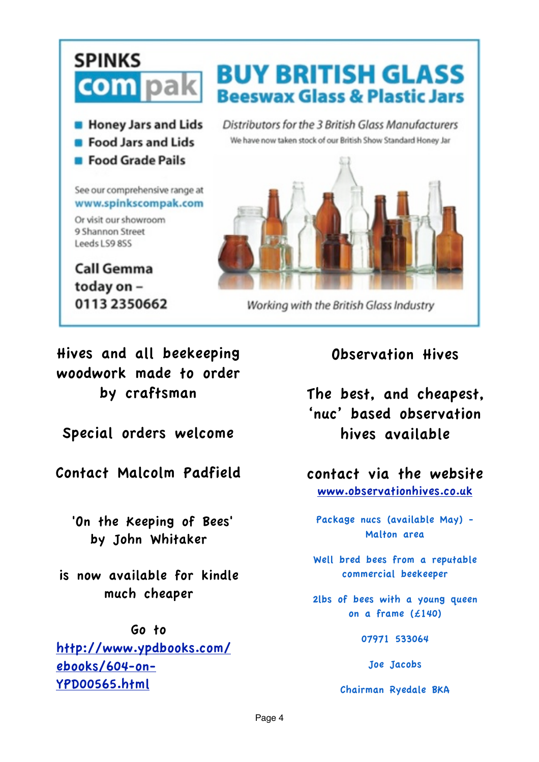### **SPINKS BUY BRITISH GLASS com** pak **Beeswax Glass & Plastic Jars B** Honey Jars and Lids Distributors for the 3 British Glass Manufacturers We have now taken stock of our British Show Standard Honey Jar **B** Food Jars and Lids **E** Food Grade Pails See our comprehensive range at www.spinkscompak.com Or visit our showroom 9 Shannon Street Leeds LS9 8SS **Call Gemma** today on -

Working with the British Glass Industry

### Hives and all beekeeping woodwork made to order by craftsman

0113 2350662

Special orders welcome

Contact Malcolm Padfield

 'On the Keeping of Bees' by John Whitaker

is now available for kindle much cheaper

### Go to

[http://www.ypdbooks.com/](http://www.ypdbooks.com/ebooks/604-on-YPD00565.html) [ebooks/604-on-](http://www.ypdbooks.com/ebooks/604-on-YPD00565.html)[YPD00565.html](http://www.ypdbooks.com/ebooks/604-on-YPD00565.html)

Observation Hives

The best, and cheapest, 'nuc' based observation hives available

contact via the website [www.observationhives.co.uk](http://www.observationhives.co.uk)

Package nucs (available May) - Malton area

Well bred bees from a reputable commercial beekeeper

2lbs of bees with a young queen on a frame (£140)

07971 533064

Joe Jacobs

Chairman Ryedale BKA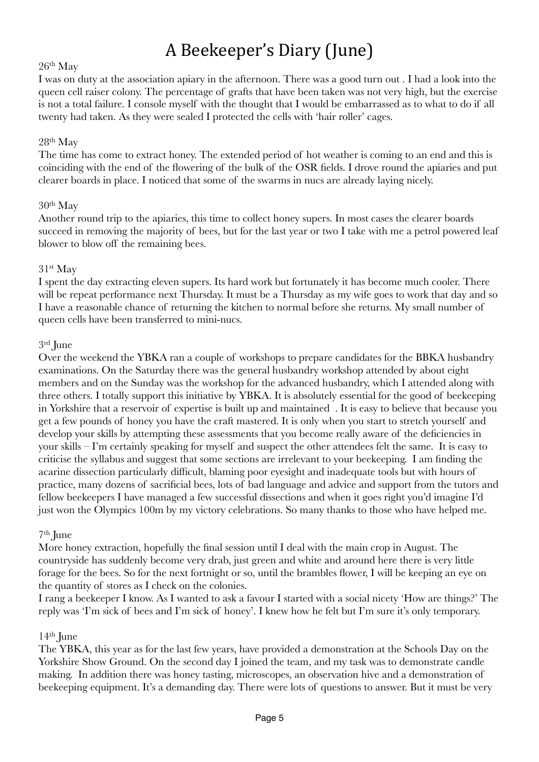## A Beekeeper's Diary (June)

### 26th May

I was on duty at the association apiary in the afternoon. There was a good turn out . I had a look into the queen cell raiser colony. The percentage of grafts that have been taken was not very high, but the exercise is not a total failure. I console myself with the thought that I would be embarrassed as to what to do if all twenty had taken. As they were sealed I protected the cells with 'hair roller' cages.

### 28th May

The time has come to extract honey. The extended period of hot weather is coming to an end and this is coinciding with the end of the flowering of the bulk of the OSR fields. I drove round the apiaries and put clearer boards in place. I noticed that some of the swarms in nucs are already laying nicely.

### 30th May

Another round trip to the apiaries, this time to collect honey supers. In most cases the clearer boards succeed in removing the majority of bees, but for the last year or two I take with me a petrol powered leaf blower to blow off the remaining bees.

### 31st May

I spent the day extracting eleven supers. Its hard work but fortunately it has become much cooler. There will be repeat performance next Thursday. It must be a Thursday as my wife goes to work that day and so I have a reasonable chance of returning the kitchen to normal before she returns. My small number of queen cells have been transferred to mini-nucs.

### 3rd June

Over the weekend the YBKA ran a couple of workshops to prepare candidates for the BBKA husbandry examinations. On the Saturday there was the general husbandry workshop attended by about eight members and on the Sunday was the workshop for the advanced husbandry, which I attended along with three others. I totally support this initiative by YBKA. It is absolutely essential for the good of beekeeping in Yorkshire that a reservoir of expertise is built up and maintained . It is easy to believe that because you get a few pounds of honey you have the craft mastered. It is only when you start to stretch yourself and develop your skills by attempting these assessments that you become really aware of the deficiencies in your skills – I'm certainly speaking for myself and suspect the other attendees felt the same. It is easy to criticise the syllabus and suggest that some sections are irrelevant to your beekeeping. I am finding the acarine dissection particularly difficult, blaming poor eyesight and inadequate tools but with hours of practice, many dozens of sacrificial bees, lots of bad language and advice and support from the tutors and fellow beekeepers I have managed a few successful dissections and when it goes right you'd imagine I'd just won the Olympics 100m by my victory celebrations. So many thanks to those who have helped me.

### 7th June

More honey extraction, hopefully the final session until I deal with the main crop in August. The countryside has suddenly become very drab, just green and white and around here there is very little forage for the bees. So for the next fortnight or so, until the brambles flower, I will be keeping an eye on the quantity of stores as I check on the colonies.

I rang a beekeeper I know. As I wanted to ask a favour I started with a social nicety 'How are things?' The reply was 'I'm sick of bees and I'm sick of honey'. I knew how he felt but I'm sure it's only temporary.

### $14<sup>th</sup>$  June

The YBKA, this year as for the last few years, have provided a demonstration at the Schools Day on the Yorkshire Show Ground. On the second day I joined the team, and my task was to demonstrate candle making. In addition there was honey tasting, microscopes, an observation hive and a demonstration of beekeeping equipment. It's a demanding day. There were lots of questions to answer. But it must be very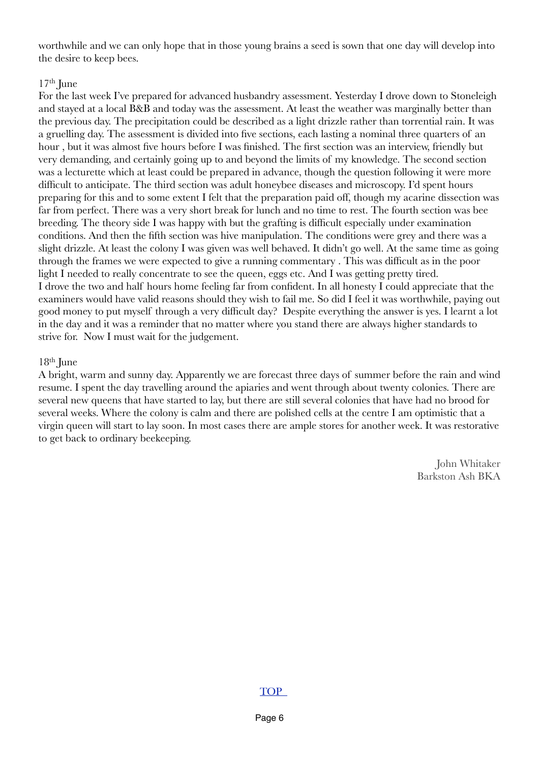worthwhile and we can only hope that in those young brains a seed is sown that one day will develop into the desire to keep bees.

### $17<sup>th</sup>$  June

For the last week I've prepared for advanced husbandry assessment. Yesterday I drove down to Stoneleigh and stayed at a local B&B and today was the assessment. At least the weather was marginally better than the previous day. The precipitation could be described as a light drizzle rather than torrential rain. It was a gruelling day. The assessment is divided into five sections, each lasting a nominal three quarters of an hour , but it was almost five hours before I was finished. The first section was an interview, friendly but very demanding, and certainly going up to and beyond the limits of my knowledge. The second section was a lecturette which at least could be prepared in advance, though the question following it were more difficult to anticipate. The third section was adult honeybee diseases and microscopy. I'd spent hours preparing for this and to some extent I felt that the preparation paid off, though my acarine dissection was far from perfect. There was a very short break for lunch and no time to rest. The fourth section was bee breeding. The theory side I was happy with but the grafting is difficult especially under examination conditions. And then the fifth section was hive manipulation. The conditions were grey and there was a slight drizzle. At least the colony I was given was well behaved. It didn't go well. At the same time as going through the frames we were expected to give a running commentary . This was difficult as in the poor light I needed to really concentrate to see the queen, eggs etc. And I was getting pretty tired. I drove the two and half hours home feeling far from confident. In all honesty I could appreciate that the examiners would have valid reasons should they wish to fail me. So did I feel it was worthwhile, paying out good money to put myself through a very difficult day? Despite everything the answer is yes. I learnt a lot in the day and it was a reminder that no matter where you stand there are always higher standards to strive for. Now I must wait for the judgement.

### $18<sup>th</sup>$  June

A bright, warm and sunny day. Apparently we are forecast three days of summer before the rain and wind resume. I spent the day travelling around the apiaries and went through about twenty colonies. There are several new queens that have started to lay, but there are still several colonies that have had no brood for several weeks. Where the colony is calm and there are polished cells at the centre I am optimistic that a virgin queen will start to lay soon. In most cases there are ample stores for another week. It was restorative to get back to ordinary beekeeping.

> John Whitaker Barkston Ash BKA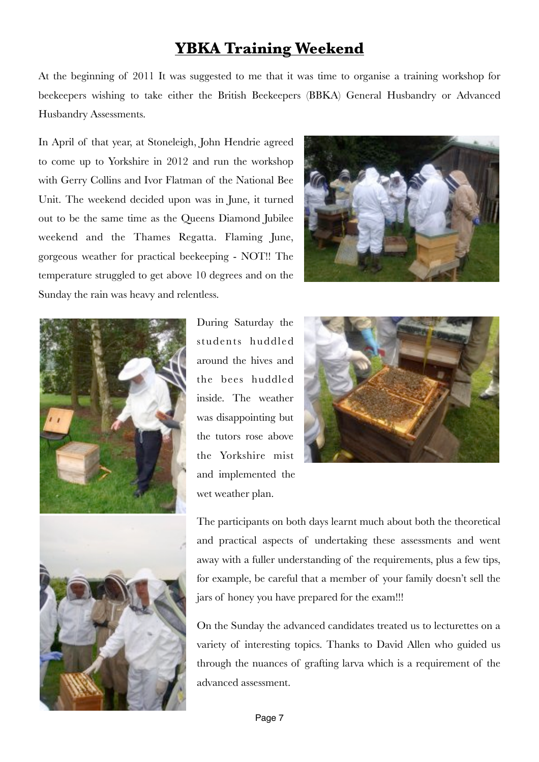### **YBKA Training Weekend**

At the beginning of 2011 It was suggested to me that it was time to organise a training workshop for beekeepers wishing to take either the British Beekeepers (BBKA) General Husbandry or Advanced Husbandry Assessments.

In April of that year, at Stoneleigh, John Hendrie agreed to come up to Yorkshire in 2012 and run the workshop with Gerry Collins and Ivor Flatman of the National Bee Unit. The weekend decided upon was in June, it turned out to be the same time as the Queens Diamond Jubilee weekend and the Thames Regatta. Flaming June, gorgeous weather for practical beekeeping - NOT!! The temperature struggled to get above 10 degrees and on the Sunday the rain was heavy and relentless.







During Saturday the students huddled around the hives and the bees huddled inside. The weather was disappointing but the tutors rose above the Yorkshire mist and implemented the wet weather plan.



The participants on both days learnt much about both the theoretical and practical aspects of undertaking these assessments and went away with a fuller understanding of the requirements, plus a few tips, for example, be careful that a member of your family doesn't sell the jars of honey you have prepared for the exam!!!

On the Sunday the advanced candidates treated us to lecturettes on a variety of interesting topics. Thanks to David Allen who guided us through the nuances of grafting larva which is a requirement of the advanced assessment.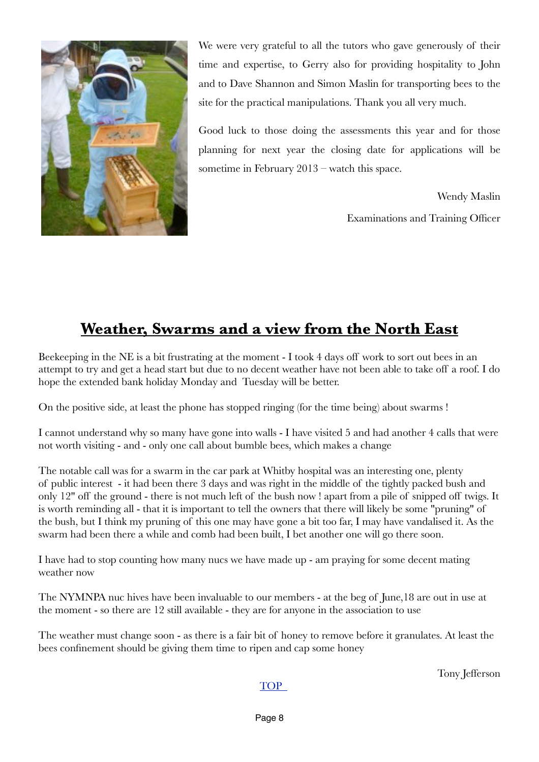

We were very grateful to all the tutors who gave generously of their time and expertise, to Gerry also for providing hospitality to John and to Dave Shannon and Simon Maslin for transporting bees to the site for the practical manipulations. Thank you all very much.

Good luck to those doing the assessments this year and for those planning for next year the closing date for applications will be sometime in February 2013 – watch this space.

> Wendy Maslin Examinations and Training Officer

### **Weather, Swarms and a view from the North East**

Beekeeping in the NE is a bit frustrating at the moment - I took 4 days off work to sort out bees in an attempt to try and get a head start but due to no decent weather have not been able to take off a roof. I do hope the extended bank holiday Monday and Tuesday will be better.

On the positive side, at least the phone has stopped ringing (for the time being) about swarms !

I cannot understand why so many have gone into walls - I have visited 5 and had another 4 calls that were not worth visiting - and - only one call about bumble bees, which makes a change

The notable call was for a swarm in the car park at Whitby hospital was an interesting one, plenty of public interest - it had been there 3 days and was right in the middle of the tightly packed bush and only 12" off the ground - there is not much left of the bush now ! apart from a pile of snipped off twigs. It is worth reminding all - that it is important to tell the owners that there will likely be some "pruning" of the bush, but I think my pruning of this one may have gone a bit too far, I may have vandalised it. As the swarm had been there a while and comb had been built, I bet another one will go there soon.

I have had to stop counting how many nucs we have made up - am praying for some decent mating weather now

The NYMNPA nuc hives have been invaluable to our members - at the beg of June,18 are out in use at the moment - so there are 12 still available - they are for anyone in the association to use

The weather must change soon - as there is a fair bit of honey to remove before it granulates. At least the bees confinement should be giving them time to ripen and cap some honey

Tony Jefferson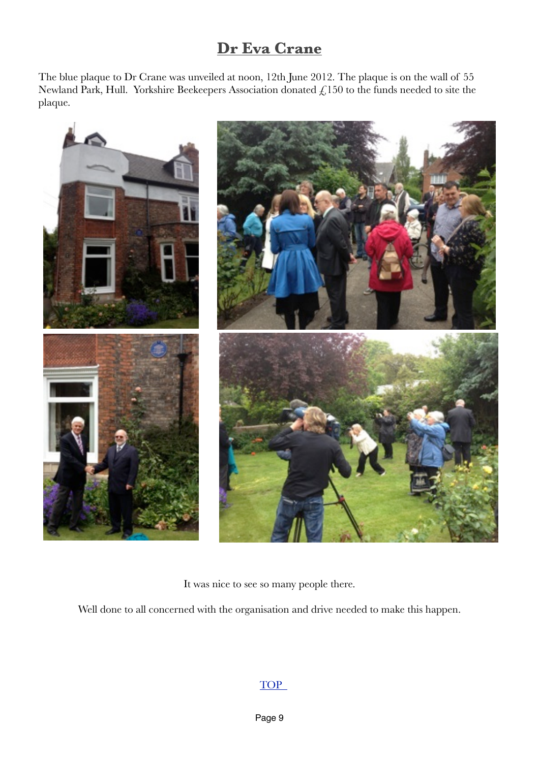### **Dr Eva Crane**

The blue plaque to Dr Crane was unveiled at noon, 12th June 2012. The plaque is on the wall of 55 Newland Park, Hull. Yorkshire Beekeepers Association donated  $\mathcal{L}$ 150 to the funds needed to site the plaque.



It was nice to see so many people there.

Well done to all concerned with the organisation and drive needed to make this happen.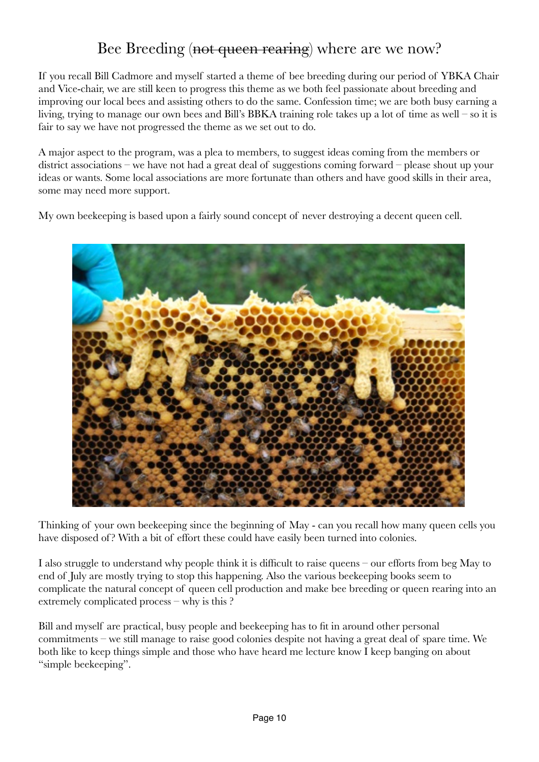### Bee Breeding (not queen rearing) where are we now?

If you recall Bill Cadmore and myself started a theme of bee breeding during our period of YBKA Chair and Vice-chair, we are still keen to progress this theme as we both feel passionate about breeding and improving our local bees and assisting others to do the same. Confession time; we are both busy earning a living, trying to manage our own bees and Bill's BBKA training role takes up a lot of time as well – so it is fair to say we have not progressed the theme as we set out to do.

A major aspect to the program, was a plea to members, to suggest ideas coming from the members or district associations – we have not had a great deal of suggestions coming forward – please shout up your ideas or wants. Some local associations are more fortunate than others and have good skills in their area, some may need more support.

My own beekeeping is based upon a fairly sound concept of never destroying a decent queen cell.



Thinking of your own beekeeping since the beginning of May - can you recall how many queen cells you have disposed of? With a bit of effort these could have easily been turned into colonies.

I also struggle to understand why people think it is difficult to raise queens – our efforts from beg May to end of July are mostly trying to stop this happening. Also the various beekeeping books seem to complicate the natural concept of queen cell production and make bee breeding or queen rearing into an extremely complicated process – why is this ?

Bill and myself are practical, busy people and beekeeping has to fit in around other personal commitments – we still manage to raise good colonies despite not having a great deal of spare time. We both like to keep things simple and those who have heard me lecture know I keep banging on about "simple beekeeping".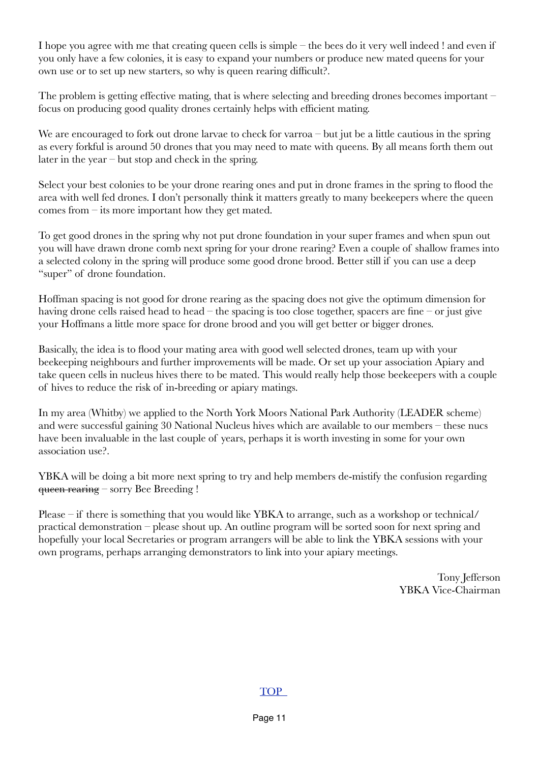I hope you agree with me that creating queen cells is simple – the bees do it very well indeed ! and even if you only have a few colonies, it is easy to expand your numbers or produce new mated queens for your own use or to set up new starters, so why is queen rearing difficult?.

The problem is getting effective mating, that is where selecting and breeding drones becomes important – focus on producing good quality drones certainly helps with efficient mating.

We are encouraged to fork out drone larvae to check for varroa – but jut be a little cautious in the spring as every forkful is around 50 drones that you may need to mate with queens. By all means forth them out later in the year – but stop and check in the spring.

Select your best colonies to be your drone rearing ones and put in drone frames in the spring to flood the area with well fed drones. I don't personally think it matters greatly to many beekeepers where the queen comes from – its more important how they get mated.

To get good drones in the spring why not put drone foundation in your super frames and when spun out you will have drawn drone comb next spring for your drone rearing? Even a couple of shallow frames into a selected colony in the spring will produce some good drone brood. Better still if you can use a deep "super" of drone foundation.

Hoffman spacing is not good for drone rearing as the spacing does not give the optimum dimension for having drone cells raised head to head – the spacing is too close together, spacers are fine – or just give your Hoffmans a little more space for drone brood and you will get better or bigger drones.

Basically, the idea is to flood your mating area with good well selected drones, team up with your beekeeping neighbours and further improvements will be made. Or set up your association Apiary and take queen cells in nucleus hives there to be mated. This would really help those beekeepers with a couple of hives to reduce the risk of in-breeding or apiary matings.

In my area (Whitby) we applied to the North York Moors National Park Authority (LEADER scheme) and were successful gaining 30 National Nucleus hives which are available to our members – these nucs have been invaluable in the last couple of years, perhaps it is worth investing in some for your own association use?.

YBKA will be doing a bit more next spring to try and help members de-mistify the confusion regarding queen rearing – sorry Bee Breeding !

Please – if there is something that you would like YBKA to arrange, such as a workshop or technical/ practical demonstration – please shout up. An outline program will be sorted soon for next spring and hopefully your local Secretaries or program arrangers will be able to link the YBKA sessions with your own programs, perhaps arranging demonstrators to link into your apiary meetings.

> Tony Jefferson YBKA Vice-Chairman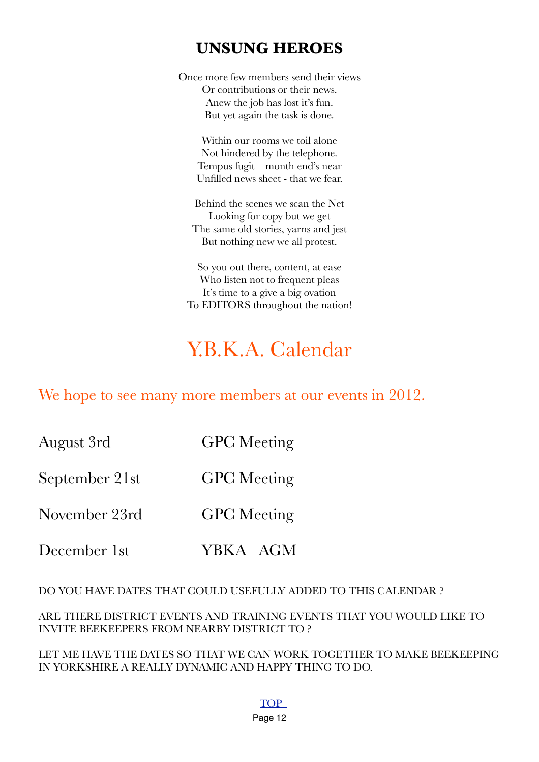### **UNSUNG HEROES**

Once more few members send their views Or contributions or their news. Anew the job has lost it's fun. But yet again the task is done.

Within our rooms we toil alone Not hindered by the telephone. Tempus fugit – month end's near Unfilled news sheet - that we fear.

Behind the scenes we scan the Net Looking for copy but we get The same old stories, yarns and jest But nothing new we all protest.

So you out there, content, at ease Who listen not to frequent pleas It's time to a give a big ovation To EDITORS throughout the nation!

# Y.B.K.A. Calendar

We hope to see many more members at our events in 2012.

August 3rd GPC Meeting

September 21st GPC Meeting

November 23rd GPC Meeting

December 1st **YBKA** AGM

DO YOU HAVE DATES THAT COULD USEFULLY ADDED TO THIS CALENDAR ?

ARE THERE DISTRICT EVENTS AND TRAINING EVENTS THAT YOU WOULD LIKE TO INVITE BEEKEEPERS FROM NEARBY DISTRICT TO ?

LET ME HAVE THE DATES SO THAT WE CAN WORK TOGETHER TO MAKE BEEKEEPING IN YORKSHIRE A REALLY DYNAMIC AND HAPPY THING TO DO.

TOP

Page 12